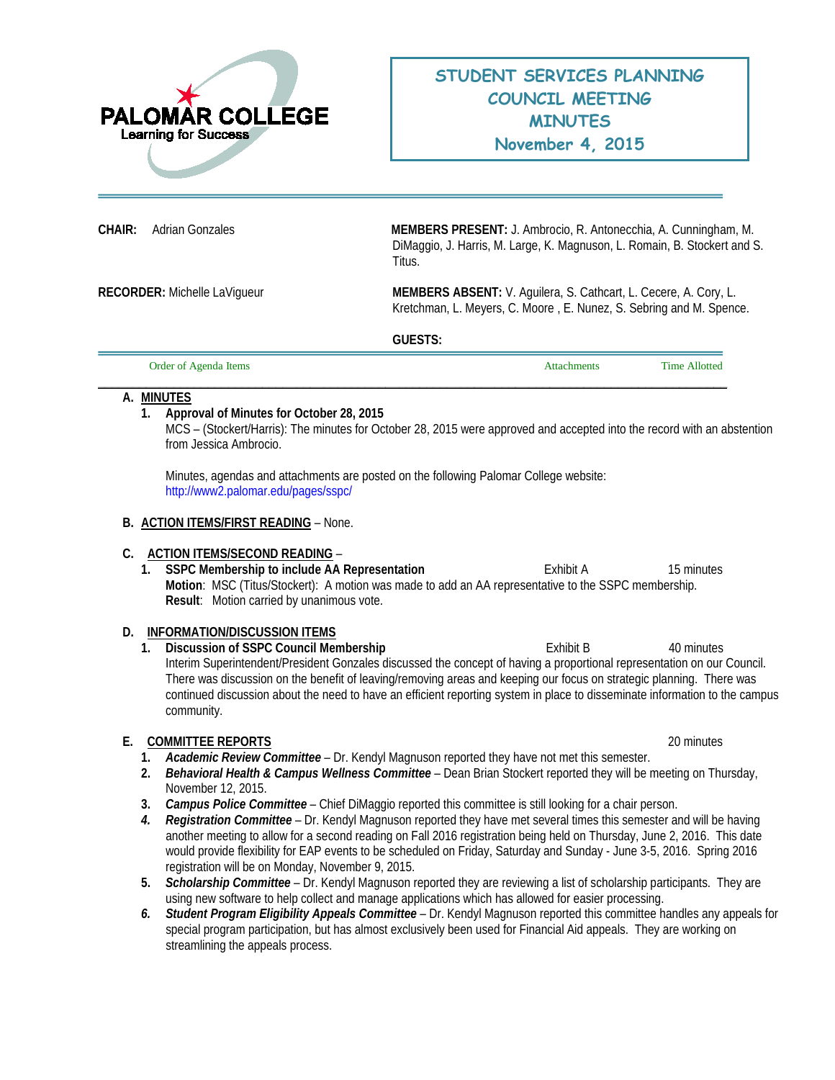

**CHAIR:** Adrian Gonzales **MEMBERS PRESENT:** J. Ambrocio, R. Antonecchia, A. Cunningham, M. DiMaggio, J. Harris, M. Large, K. Magnuson, L. Romain, B. Stockert and S. Titus.

**RECORDER:** Michelle LaVigueur **MEMBERS ABSENT:** V. Aguilera, S. Cathcart, L. Cecere, A. Cory, L. Kretchman, L. Meyers, C. Moore , E. Nunez, S. Sebring and M. Spence.

**GUESTS:** 

| Order of Agenda Items | Attachments | <b>Time Allotted</b> |
|-----------------------|-------------|----------------------|
|                       |             |                      |

# **A. MINUTES**

# **1. Approval of Minutes for October 28, 2015**

MCS – (Stockert/Harris): The minutes for October 28, 2015 were approved and accepted into the record with an abstention from Jessica Ambrocio.

Minutes, agendas and attachments are posted on the following Palomar College website: <http://www2.palomar.edu/pages/sspc/>

#### **B. ACTION ITEMS/FIRST READING** – None.

#### **C. ACTION ITEMS/SECOND READING** –

**1. SSPC Membership to include AA Representation Exhibit A** 15 minutes **Motion**: MSC (Titus/Stockert): A motion was made to add an AA representative to the SSPC membership. **Result**:Motion carried by unanimous vote.

# **D. INFORMATION/DISCUSSION ITEMS**

**1. Discussion of SSPC Council Membership 
and the Council Council Membership 
<b>Exhibit B** 40 minutes Interim Superintendent/President Gonzales discussed the concept of having a proportional representation on our Council. There was discussion on the benefit of leaving/removing areas and keeping our focus on strategic planning. There was continued discussion about the need to have an efficient reporting system in place to disseminate information to the campus community.

# **E. COMMITTEE REPORTS** 20 minutes

- **1.** *Academic Review Committee* Dr. Kendyl Magnuson reported they have not met this semester.
- **2.** *Behavioral Health & Campus Wellness Committee* Dean Brian Stockert reported they will be meeting on Thursday, November 12, 2015.
- **3.** *Campus Police Committee*  Chief DiMaggio reported this committee is still looking for a chair person.
- *4. Registration Committee*  Dr. Kendyl Magnuson reported they have met several times this semester and will be having another meeting to allow for a second reading on Fall 2016 registration being held on Thursday, June 2, 2016. This date would provide flexibility for EAP events to be scheduled on Friday, Saturday and Sunday - June 3-5, 2016. Spring 2016 registration will be on Monday, November 9, 2015.
- **5.** *Scholarship Committee* Dr. Kendyl Magnuson reported they are reviewing a list of scholarship participants. They are using new software to help collect and manage applications which has allowed for easier processing.
- *6. Student Program Eligibility Appeals Committee*  Dr. Kendyl Magnuson reported this committee handles any appeals for special program participation, but has almost exclusively been used for Financial Aid appeals. They are working on streamlining the appeals process.